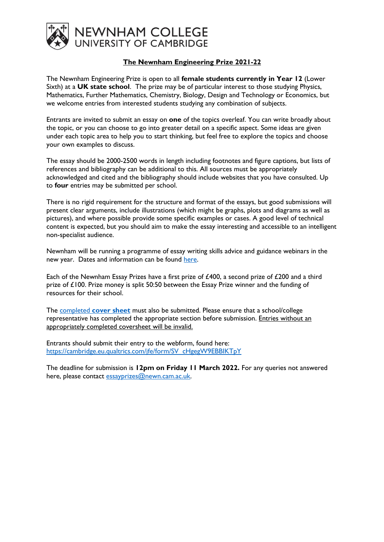

## **The Newnham Engineering Prize 2021-22**

The Newnham Engineering Prize is open to all **female students currently in Year 12** (Lower Sixth) at a **UK state school**. The prize may be of particular interest to those studying Physics, Mathematics, Further Mathematics, Chemistry, Biology, Design and Technology or Economics, but we welcome entries from interested students studying any combination of subjects.

Entrants are invited to submit an essay on **one** of the topics overleaf. You can write broadly about the topic, or you can choose to go into greater detail on a specific aspect. Some ideas are given under each topic area to help you to start thinking, but feel free to explore the topics and choose your own examples to discuss.

The essay should be 2000-2500 words in length including footnotes and figure captions, but lists of references and bibliography can be additional to this. All sources must be appropriately acknowledged and cited and the bibliography should include websites that you have consulted. Up to **four** entries may be submitted per school.

There is no rigid requirement for the structure and format of the essays, but good submissions will present clear arguments, include illustrations (which might be graphs, plots and diagrams as well as pictures), and where possible provide some specific examples or cases. A good level of technical content is expected, but you should aim to make the essay interesting and accessible to an intelligent non-specialist audience.

Newnham will be running a programme of essay writing skills advice and guidance webinars in the new year. Dates and information can be found [here.](https://newn.cam.ac.uk/admissions/undergraduates/newnham-essay-prizes/)

Each of the Newnham Essay Prizes have a first prize of £400, a second prize of £200 and a third prize of £100. Prize money is split 50:50 between the Essay Prize winner and the funding of resources for their school.

The completed **[cover sheet](https://newn.cam.ac.uk/wp-content/uploads/2022/01/Essay-Prize-Cover-Sheet-2021-22.docx)** must also be submitted. Please ensure that a school/college representative has completed the appropriate section before submission. Entries without an appropriately completed coversheet will be invalid.

Entrants should submit their entry to the webform, found here: [https://cambridge.eu.qualtrics.com/jfe/form/SV\\_cHgegW9EBBIKTpY](https://cambridge.eu.qualtrics.com/jfe/form/SV_cHgegW9EBBIKTpY)

The deadline for submission is **12pm on Friday 11 March 2022.** For any queries not answered here, please contact [essayprizes@newn.cam.ac.uk.](mailto:essayprizes@newn.cam.ac.uk)